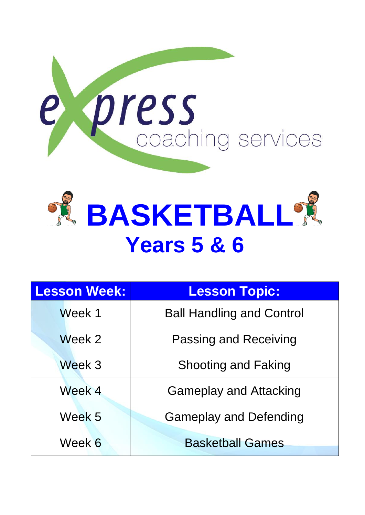



| <b>Lesson Week:</b> | <b>Lesson Topic:</b>             |
|---------------------|----------------------------------|
| Week 1              | <b>Ball Handling and Control</b> |
| Week 2              | <b>Passing and Receiving</b>     |
| Week 3              | <b>Shooting and Faking</b>       |
| Week 4              | <b>Gameplay and Attacking</b>    |
| Week 5              | <b>Gameplay and Defending</b>    |
| Week 6              | <b>Basketball Games</b>          |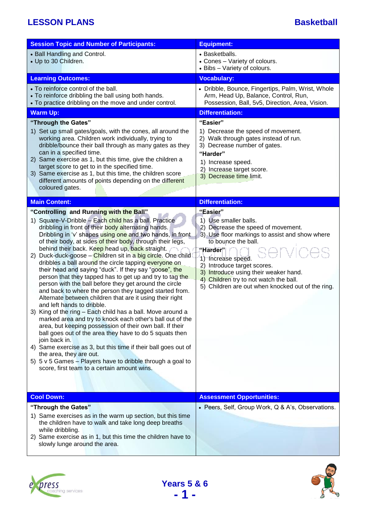| <b>Session Topic and Number of Participants:</b>                                                                                                                                                                                                                                                                                                                                                                                                                                                                                                                                                                                                                                                                                                                                                                                                                                                                                                                                                                                                                                                                                                                                                                                                                                     | <b>Equipment:</b>                                                                                                                                                                                                                                                                                                                                         |
|--------------------------------------------------------------------------------------------------------------------------------------------------------------------------------------------------------------------------------------------------------------------------------------------------------------------------------------------------------------------------------------------------------------------------------------------------------------------------------------------------------------------------------------------------------------------------------------------------------------------------------------------------------------------------------------------------------------------------------------------------------------------------------------------------------------------------------------------------------------------------------------------------------------------------------------------------------------------------------------------------------------------------------------------------------------------------------------------------------------------------------------------------------------------------------------------------------------------------------------------------------------------------------------|-----------------------------------------------------------------------------------------------------------------------------------------------------------------------------------------------------------------------------------------------------------------------------------------------------------------------------------------------------------|
| • Ball Handling and Control.<br>• Up to 30 Children.                                                                                                                                                                                                                                                                                                                                                                                                                                                                                                                                                                                                                                                                                                                                                                                                                                                                                                                                                                                                                                                                                                                                                                                                                                 | • Basketballs.<br>• Cones - Variety of colours.<br>• Bibs - Variety of colours.                                                                                                                                                                                                                                                                           |
| <b>Learning Outcomes:</b>                                                                                                                                                                                                                                                                                                                                                                                                                                                                                                                                                                                                                                                                                                                                                                                                                                                                                                                                                                                                                                                                                                                                                                                                                                                            | <b>Vocabulary:</b>                                                                                                                                                                                                                                                                                                                                        |
| • To reinforce control of the ball.<br>• To reinforce dribbling the ball using both hands.<br>• To practice dribbling on the move and under control.                                                                                                                                                                                                                                                                                                                                                                                                                                                                                                                                                                                                                                                                                                                                                                                                                                                                                                                                                                                                                                                                                                                                 | • Dribble, Bounce, Fingertips, Palm, Wrist, Whole<br>Arm, Head Up, Balance, Control, Run,<br>Possession, Ball, 5v5, Direction, Area, Vision.                                                                                                                                                                                                              |
| <b>Warm Up:</b>                                                                                                                                                                                                                                                                                                                                                                                                                                                                                                                                                                                                                                                                                                                                                                                                                                                                                                                                                                                                                                                                                                                                                                                                                                                                      | <b>Differentiation:</b>                                                                                                                                                                                                                                                                                                                                   |
| "Through the Gates"<br>1) Set up small gates/goals, with the cones, all around the<br>working area. Children work individually, trying to<br>dribble/bounce their ball through as many gates as they<br>can in a specified time.<br>2) Same exercise as 1, but this time, give the children a<br>target score to get to in the specified time.<br>3) Same exercise as 1, but this time, the children score<br>different amounts of points depending on the different<br>coloured gates.                                                                                                                                                                                                                                                                                                                                                                                                                                                                                                                                                                                                                                                                                                                                                                                              | "Easier"<br>1) Decrease the speed of movement.<br>2) Walk through gates instead of run.<br>3) Decrease number of gates.<br>"Harder"<br>1) Increase speed.<br>2) Increase target score.<br>3) Decrease time limit.                                                                                                                                         |
| <b>Main Content:</b>                                                                                                                                                                                                                                                                                                                                                                                                                                                                                                                                                                                                                                                                                                                                                                                                                                                                                                                                                                                                                                                                                                                                                                                                                                                                 | <b>Differentiation:</b>                                                                                                                                                                                                                                                                                                                                   |
|                                                                                                                                                                                                                                                                                                                                                                                                                                                                                                                                                                                                                                                                                                                                                                                                                                                                                                                                                                                                                                                                                                                                                                                                                                                                                      |                                                                                                                                                                                                                                                                                                                                                           |
| "Controlling and Running with the Ball"<br>1) Square-V-Dribble - Each child has a ball. Practice<br>dribbling in front of their body alternating hands.<br>Dribbling in 'v' shapes using one and two hands, in front<br>of their body, at sides of their body, through their legs,<br>behind their back. Keep head up, back straight.<br>2) Duck-duck-goose - Children sit in a big circle. One child<br>dribbles a ball around the circle tapping everyone on<br>their head and saying "duck". If they say "goose", the<br>person that they tapped has to get up and try to tag the<br>person with the ball before they get around the circle<br>and back to where the person they tagged started from.<br>Alternate between children that are it using their right<br>and left hands to dribble.<br>3) King of the ring - Each child has a ball. Move around a<br>marked area and try to knock each other's ball out of the<br>area, but keeping possession of their own ball. If their<br>ball goes out of the area they have to do 5 squats then<br>join back in.<br>4) Same exercise as 3, but this time if their ball goes out of<br>the area, they are out.<br>5) $5 \vee 5$ Games - Players have to dribble through a goal to<br>score, first team to a certain amount wins. | "Easier"<br>1) Use smaller balls.<br>2) Decrease the speed of movement.<br>3) Use floor markings to assist and show where<br>to bounce the ball.<br>"Harder"<br>1) Increase speed.<br>2) Introduce target scores.<br>3) Introduce using their weaker hand.<br>4) Children try to not watch the ball.<br>5) Children are out when knocked out of the ring. |
| <b>Cool Down:</b>                                                                                                                                                                                                                                                                                                                                                                                                                                                                                                                                                                                                                                                                                                                                                                                                                                                                                                                                                                                                                                                                                                                                                                                                                                                                    | <b>Assessment Opportunities:</b>                                                                                                                                                                                                                                                                                                                          |
| "Through the Gates"                                                                                                                                                                                                                                                                                                                                                                                                                                                                                                                                                                                                                                                                                                                                                                                                                                                                                                                                                                                                                                                                                                                                                                                                                                                                  | • Peers, Self, Group Work, Q & A's, Observations.                                                                                                                                                                                                                                                                                                         |
| 1) Same exercises as in the warm up section, but this time<br>the children have to walk and take long deep breaths<br>while dribbling.<br>2) Same exercise as in 1, but this time the children have to<br>slowly lunge around the area.                                                                                                                                                                                                                                                                                                                                                                                                                                                                                                                                                                                                                                                                                                                                                                                                                                                                                                                                                                                                                                              |                                                                                                                                                                                                                                                                                                                                                           |





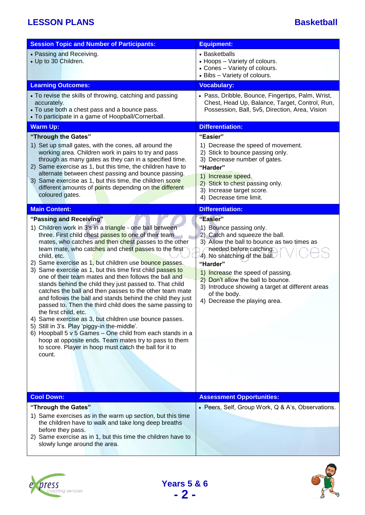| <b>Session Topic and Number of Participants:</b>                                                                                                                                                                                                                                                                                                                                                                                                                                                                                                                                                                                                                                                                                                                                                                                                                                                                                                                                                                                            | <b>Equipment:</b>                                                                                                                                                                                                                                                                                                                                                           |
|---------------------------------------------------------------------------------------------------------------------------------------------------------------------------------------------------------------------------------------------------------------------------------------------------------------------------------------------------------------------------------------------------------------------------------------------------------------------------------------------------------------------------------------------------------------------------------------------------------------------------------------------------------------------------------------------------------------------------------------------------------------------------------------------------------------------------------------------------------------------------------------------------------------------------------------------------------------------------------------------------------------------------------------------|-----------------------------------------------------------------------------------------------------------------------------------------------------------------------------------------------------------------------------------------------------------------------------------------------------------------------------------------------------------------------------|
| • Passing and Receiving.<br>• Up to 30 Children.                                                                                                                                                                                                                                                                                                                                                                                                                                                                                                                                                                                                                                                                                                                                                                                                                                                                                                                                                                                            | • Basketballs<br>• Hoops - Variety of colours.<br>• Cones - Variety of colours.<br>• Bibs - Variety of colours.                                                                                                                                                                                                                                                             |
| <b>Learning Outcomes:</b>                                                                                                                                                                                                                                                                                                                                                                                                                                                                                                                                                                                                                                                                                                                                                                                                                                                                                                                                                                                                                   | <b>Vocabulary:</b>                                                                                                                                                                                                                                                                                                                                                          |
| • To revise the skills of throwing, catching and passing<br>accurately.<br>• To use both a chest pass and a bounce pass.<br>• To participate in a game of Hoopball/Cornerball.                                                                                                                                                                                                                                                                                                                                                                                                                                                                                                                                                                                                                                                                                                                                                                                                                                                              | • Pass, Dribble, Bounce, Fingertips, Palm, Wrist,<br>Chest, Head Up, Balance, Target, Control, Run,<br>Possession, Ball, 5v5, Direction, Area, Vision                                                                                                                                                                                                                       |
| <b>Warm Up:</b>                                                                                                                                                                                                                                                                                                                                                                                                                                                                                                                                                                                                                                                                                                                                                                                                                                                                                                                                                                                                                             | <b>Differentiation:</b>                                                                                                                                                                                                                                                                                                                                                     |
| "Through the Gates"<br>1) Set up small gates, with the cones, all around the<br>working area. Children work in pairs to try and pass<br>through as many gates as they can in a specified time.<br>2) Same exercise as 1, but this time, the children have to<br>alternate between chest passing and bounce passing.<br>3) Same exercise as 1, but this time, the children score<br>different amounts of points depending on the different<br>coloured gates.                                                                                                                                                                                                                                                                                                                                                                                                                                                                                                                                                                                | "Easier"<br>1) Decrease the speed of movement.<br>2) Stick to bounce passing only.<br>3) Decrease number of gates.<br>"Harder"<br>1) Increase speed.<br>2) Stick to chest passing only.<br>3) Increase target score.<br>4) Decrease time limit.                                                                                                                             |
| <b>Main Content:</b>                                                                                                                                                                                                                                                                                                                                                                                                                                                                                                                                                                                                                                                                                                                                                                                                                                                                                                                                                                                                                        | <b>Differentiation:</b>                                                                                                                                                                                                                                                                                                                                                     |
| "Passing and Receiving"<br>1) Children work in 3's in a triangle - one ball between<br>three. First child chest passes to one of their team<br>mates, who catches and then chest passes to the other<br>team mate, who catches and chest passes to the first<br>child, etc.<br>2) Same exercise as 1, but children use bounce passes.<br>3) Same exercise as 1, but this time first child passes to<br>one of their team mates and then follows the ball and<br>stands behind the child they just passed to. That child<br>catches the ball and then passes to the other team mate<br>and follows the ball and stands behind the child they just<br>passed to. Then the third child does the same passing to<br>the first child, etc.<br>4) Same exercise as 3, but children use bounce passes.<br>5) Still in 3's. Play 'piggy-in the-middle'.<br>6) Hoopball 5 $v$ 5 Games – One child from each stands in a<br>hoop at opposite ends. Team mates try to pass to them<br>to score. Player in hoop must catch the ball for it to<br>count. | "Easier"<br>1) Bounce passing only.<br>2) Catch and squeeze the ball.<br>3) Allow the ball to bounce as two times as<br>needed before catching.<br>4) No shatching of the ball.<br>"Harder"<br>1) Increase the speed of passing.<br>2) Don't allow the ball to bounce.<br>3) Introduce showing a target at different areas<br>of the body.<br>4) Decrease the playing area. |
| <b>Cool Down:</b>                                                                                                                                                                                                                                                                                                                                                                                                                                                                                                                                                                                                                                                                                                                                                                                                                                                                                                                                                                                                                           | <b>Assessment Opportunities:</b>                                                                                                                                                                                                                                                                                                                                            |
| "Through the Gates"<br>1) Same exercises as in the warm up section, but this time<br>the children have to walk and take long deep breaths<br>before they pass.<br>2) Same exercise as in 1, but this time the children have to<br>slowly lunge around the area.                                                                                                                                                                                                                                                                                                                                                                                                                                                                                                                                                                                                                                                                                                                                                                             | • Peers, Self, Group Work, Q & A's, Observations.                                                                                                                                                                                                                                                                                                                           |





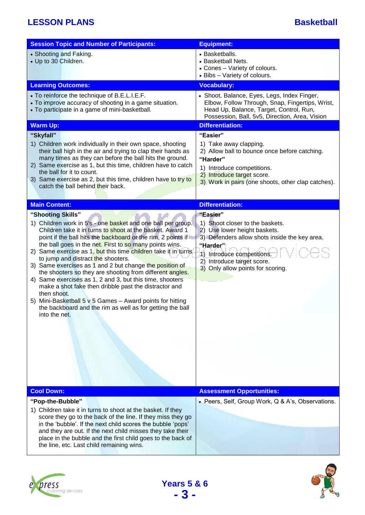| <b>Session Topic and Number of Participants:</b>                                                                                                                                                                                                                                                                                                                                                                                                                                                                                                                                                                                                                                                                                                                                        | <b>Equipment:</b>                                                                                                                                                                                                                         |
|-----------------------------------------------------------------------------------------------------------------------------------------------------------------------------------------------------------------------------------------------------------------------------------------------------------------------------------------------------------------------------------------------------------------------------------------------------------------------------------------------------------------------------------------------------------------------------------------------------------------------------------------------------------------------------------------------------------------------------------------------------------------------------------------|-------------------------------------------------------------------------------------------------------------------------------------------------------------------------------------------------------------------------------------------|
| • Shooting and Faking.<br>• Up to 30 Children.                                                                                                                                                                                                                                                                                                                                                                                                                                                                                                                                                                                                                                                                                                                                          | • Basketballs.<br>• Basketball Nets.<br>• Cones - Variety of colours.<br>• Bibs - Variety of colours.                                                                                                                                     |
| <b>Learning Outcomes:</b>                                                                                                                                                                                                                                                                                                                                                                                                                                                                                                                                                                                                                                                                                                                                                               | <b>Vocabulary:</b>                                                                                                                                                                                                                        |
| • To reinforce the technique of B.E.L.I.E.F.<br>• To improve accuracy of shooting in a game situation.<br>• To participate in a game of mini-basketball.                                                                                                                                                                                                                                                                                                                                                                                                                                                                                                                                                                                                                                | • Shoot, Balance, Eyes, Legs, Index Finger,<br>Elbow, Follow Through, Snap, Fingertips, Wrist,<br>Head Up, Balance, Target, Control, Run,<br>Possession, Ball, 5v5, Direction, Area, Vision                                               |
| <b>Warm Up:</b>                                                                                                                                                                                                                                                                                                                                                                                                                                                                                                                                                                                                                                                                                                                                                                         | <b>Differentiation:</b>                                                                                                                                                                                                                   |
| "Skyfall"<br>1) Children work individually in their own space, shooting<br>their ball high in the air and trying to clap their hands as<br>many times as they can before the ball hits the ground.<br>2) Same exercise as 1, but this time, children have to catch<br>the ball for it to count.<br>3) Same exercise as 2, but this time, children have to try to<br>catch the ball behind their back.                                                                                                                                                                                                                                                                                                                                                                                   | "Easier"<br>1) Take away clapping.<br>2) Allow ball to bounce once before catching.<br>"Harder"<br>1) Introduce competitions.<br>2) Introduce target score.<br>3) Work in pairs (one shoots, other clap catches).                         |
| <b>Main Content:</b>                                                                                                                                                                                                                                                                                                                                                                                                                                                                                                                                                                                                                                                                                                                                                                    | <b>Differentiation:</b>                                                                                                                                                                                                                   |
| "Shooting Skills"<br>1) Children work in 5's - one basket and one ball per group.<br>Children take it in turns to shoot at the basket. Award 1<br>point if the ball hits the backboard or the rim, 2 points if<br>the ball goes in the net. First to so many points wins.<br>2) Same exercise as 1, but this time children take it in turns<br>to jump and distract the shooters.<br>3) Same exercises as 1 and 2 but change the position of<br>the shooters so they are shooting from different angles.<br>4) Same exercises as 1, 2 and 3, but this time, shooters<br>make a shot fake then dribble past the distractor and<br>then shoot.<br>5) Mini-Basketball 5 v 5 Games - Award points for hitting<br>the backboard and the rim as well as for getting the ball<br>into the net. | "Easier"<br>1) Shoot closer to the baskets.<br>2) Use lower height baskets.<br>3) Defenders allow shots inside the key area.<br>"Harder"<br>1) Introduce competitions.<br>2) Introduce target score.<br>3) Only allow points for scoring. |
| <b>Cool Down:</b>                                                                                                                                                                                                                                                                                                                                                                                                                                                                                                                                                                                                                                                                                                                                                                       | <b>Assessment Opportunities:</b>                                                                                                                                                                                                          |
| "Pop-the-Bubble"<br>1) Children take it in turns to shoot at the basket. If they<br>score they go to the back of the line. If they miss they go<br>in the 'bubble'. If the next child scores the bubble 'pops'<br>and they are out. If the next child misses they take their<br>place in the bubble and the first child goes to the back of<br>the line, etc. Last child remaining wins.                                                                                                                                                                                                                                                                                                                                                                                                | • Peers, Self, Group Work, Q & A's, Observations.                                                                                                                                                                                         |





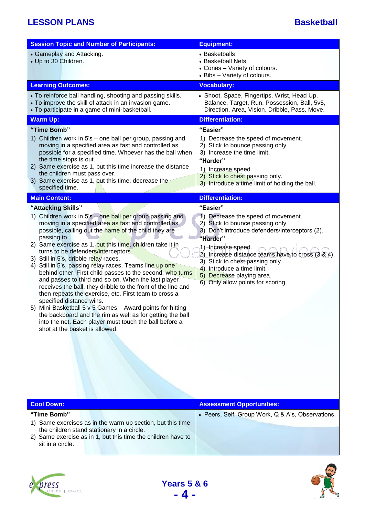| <b>Session Topic and Number of Participants:</b>                                                                                                                                                                                                                                                                                                                                                                                                                                                                                                                                                                                                                                                                                                                                                                                                                                                                                                                                                                                                                                                                                                                                     | <b>Equipment:</b>                                                                                                                                                                                                                                                                                                                                                                                                                                                                                                                                                                                                                                                  |  |
|--------------------------------------------------------------------------------------------------------------------------------------------------------------------------------------------------------------------------------------------------------------------------------------------------------------------------------------------------------------------------------------------------------------------------------------------------------------------------------------------------------------------------------------------------------------------------------------------------------------------------------------------------------------------------------------------------------------------------------------------------------------------------------------------------------------------------------------------------------------------------------------------------------------------------------------------------------------------------------------------------------------------------------------------------------------------------------------------------------------------------------------------------------------------------------------|--------------------------------------------------------------------------------------------------------------------------------------------------------------------------------------------------------------------------------------------------------------------------------------------------------------------------------------------------------------------------------------------------------------------------------------------------------------------------------------------------------------------------------------------------------------------------------------------------------------------------------------------------------------------|--|
| • Gameplay and Attacking.<br>• Up to 30 Children.                                                                                                                                                                                                                                                                                                                                                                                                                                                                                                                                                                                                                                                                                                                                                                                                                                                                                                                                                                                                                                                                                                                                    | • Basketballs<br>• Basketball Nets.<br>• Cones - Variety of colours.<br>• Bibs - Variety of colours.                                                                                                                                                                                                                                                                                                                                                                                                                                                                                                                                                               |  |
| <b>Learning Outcomes:</b>                                                                                                                                                                                                                                                                                                                                                                                                                                                                                                                                                                                                                                                                                                                                                                                                                                                                                                                                                                                                                                                                                                                                                            | <b>Vocabulary:</b>                                                                                                                                                                                                                                                                                                                                                                                                                                                                                                                                                                                                                                                 |  |
| • To reinforce ball handling, shooting and passing skills.<br>• To improve the skill of attack in an invasion game.<br>• To participate in a game of mini-basketball.                                                                                                                                                                                                                                                                                                                                                                                                                                                                                                                                                                                                                                                                                                                                                                                                                                                                                                                                                                                                                | • Shoot, Space, Fingertips, Wrist, Head Up,<br>Balance, Target, Run, Possession, Ball, 5v5,<br>Direction, Area, Vision, Dribble, Pass, Move.                                                                                                                                                                                                                                                                                                                                                                                                                                                                                                                       |  |
| <b>Warm Up:</b>                                                                                                                                                                                                                                                                                                                                                                                                                                                                                                                                                                                                                                                                                                                                                                                                                                                                                                                                                                                                                                                                                                                                                                      | <b>Differentiation:</b>                                                                                                                                                                                                                                                                                                                                                                                                                                                                                                                                                                                                                                            |  |
| "Time Bomb"<br>1) Children work in 5's – one ball per group, passing and<br>moving in a specified area as fast and controlled as<br>possible for a specified time. Whoever has the ball when<br>the time stops is out.<br>2) Same exercise as 1, but this time increase the distance<br>the children must pass over.<br>3) Same exercise as 1, but this time, decrease the<br>specified time.<br><b>Main Content:</b><br>"Attacking Skills"<br>1) Children work in 5's – one ball per group passing and<br>moving in a specified area as fast and controlled as<br>possible, calling out the name of the child they are<br>passing to.<br>2) Same exercise as 1, but this time, children take it in<br>turns to be defenders/interceptors.<br>3) Still in 5's, dribble relay races.<br>4) Still in 5's, passing relay races. Teams line up one<br>behind other. First child passes to the second, who turns<br>and passes to third and so on. When the last player<br>receives the ball, they dribble to the front of the line and<br>then repeats the exercise, etc. First team to cross a<br>specified distance wins.<br>5) Mini-Basketball 5 v 5 Games - Award points for hitting | "Easier"<br>1) Decrease the speed of movement.<br>2) Stick to bounce passing only.<br>3) Increase the time limit.<br>"Harder"<br>1) Increase speed.<br>2) Stick to chest passing only.<br>3) Introduce a time limit of holding the ball.<br><b>Differentiation:</b><br>"Easier"<br>Decrease the speed of movement.<br>$\left( \frac{1}{2} \right)$<br>2) Stick to bounce passing only.<br>3) Don't introduce defenders/interceptors (2).<br>"Harder"<br>1)-Increase speed.<br>2) Increase distance teams have to cross (3 & 4).<br>3) Stick to chest passing only.<br>4) Introduce a time limit.<br>5) Decrease playing area.<br>6) Only allow points for scoring. |  |
| the backboard and the rim as well as for getting the ball<br>into the net. Each player must touch the ball before a<br>shot at the basket is allowed.                                                                                                                                                                                                                                                                                                                                                                                                                                                                                                                                                                                                                                                                                                                                                                                                                                                                                                                                                                                                                                |                                                                                                                                                                                                                                                                                                                                                                                                                                                                                                                                                                                                                                                                    |  |
| <b>Cool Down:</b>                                                                                                                                                                                                                                                                                                                                                                                                                                                                                                                                                                                                                                                                                                                                                                                                                                                                                                                                                                                                                                                                                                                                                                    | <b>Assessment Opportunities:</b>                                                                                                                                                                                                                                                                                                                                                                                                                                                                                                                                                                                                                                   |  |
| "Time Bomb"<br>1) Same exercises as in the warm up section, but this time<br>the children stand stationary in a circle.<br>2) Same exercise as in 1, but this time the children have to<br>sit in a circle.                                                                                                                                                                                                                                                                                                                                                                                                                                                                                                                                                                                                                                                                                                                                                                                                                                                                                                                                                                          | • Peers, Self, Group Work, Q & A's, Observations.                                                                                                                                                                                                                                                                                                                                                                                                                                                                                                                                                                                                                  |  |





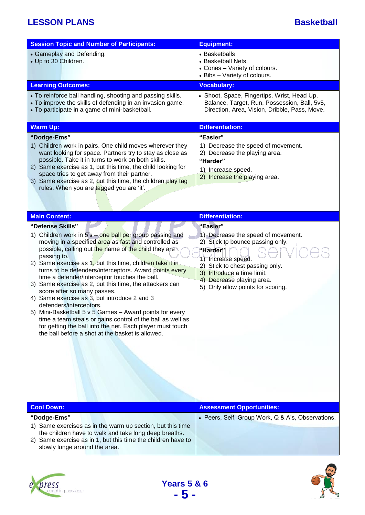| <b>Session Topic and Number of Participants:</b>                                                                                                                                                                                                                                                                                                                                                                                                                                                                                                                                                                                                                                                                                                                                                   | <b>Equipment:</b>                                                                                                                                                                                                                                       |
|----------------------------------------------------------------------------------------------------------------------------------------------------------------------------------------------------------------------------------------------------------------------------------------------------------------------------------------------------------------------------------------------------------------------------------------------------------------------------------------------------------------------------------------------------------------------------------------------------------------------------------------------------------------------------------------------------------------------------------------------------------------------------------------------------|---------------------------------------------------------------------------------------------------------------------------------------------------------------------------------------------------------------------------------------------------------|
| • Gameplay and Defending.<br>• Up to 30 Children.                                                                                                                                                                                                                                                                                                                                                                                                                                                                                                                                                                                                                                                                                                                                                  | • Basketballs<br>• Basketball Nets.<br>• Cones - Variety of colours.<br>• Bibs - Variety of colours.                                                                                                                                                    |
| <b>Learning Outcomes:</b>                                                                                                                                                                                                                                                                                                                                                                                                                                                                                                                                                                                                                                                                                                                                                                          | <b>Vocabulary:</b>                                                                                                                                                                                                                                      |
| • To reinforce ball handling, shooting and passing skills.<br>• To improve the skills of defending in an invasion game.<br>• To participate in a game of mini-basketball.                                                                                                                                                                                                                                                                                                                                                                                                                                                                                                                                                                                                                          | • Shoot, Space, Fingertips, Wrist, Head Up,<br>Balance, Target, Run, Possession, Ball, 5v5,<br>Direction, Area, Vision, Dribble, Pass, Move.                                                                                                            |
| <b>Warm Up:</b>                                                                                                                                                                                                                                                                                                                                                                                                                                                                                                                                                                                                                                                                                                                                                                                    | <b>Differentiation:</b>                                                                                                                                                                                                                                 |
| "Dodge-Ems"<br>1) Children work in pairs. One child moves wherever they<br>want looking for space. Partners try to stay as close as<br>possible. Take it in turns to work on both skills.<br>2) Same exercise as 1, but this time, the child looking for<br>space tries to get away from their partner.<br>3) Same exercise as 2, but this time, the children play tag<br>rules. When you are tagged you are 'it'.                                                                                                                                                                                                                                                                                                                                                                                 | "Easier"<br>1) Decrease the speed of movement.<br>2) Decrease the playing area.<br>"Harder"<br>1) Increase speed.<br>2) Increase the playing area.                                                                                                      |
| <b>Main Content:</b>                                                                                                                                                                                                                                                                                                                                                                                                                                                                                                                                                                                                                                                                                                                                                                               | <b>Differentiation:</b>                                                                                                                                                                                                                                 |
| "Defense Skills"<br>1) Children work in 5's - one ball per group passing and<br>moving in a specified area as fast and controlled as<br>possible, calling out the name of the child they are<br>passing to.<br>2) Same exercise as 1, but this time, children take it in<br>turns to be defenders/interceptors. Award points every<br>time a defender/interceptor touches the ball.<br>3) Same exercise as 2, but this time, the attackers can<br>score after so many passes.<br>4) Same exercise as 3, but introduce 2 and 3<br>defenders/interceptors.<br>5) Mini-Basketball 5 v 5 Games - Award points for every<br>time a team steals or gains control of the ball as well as<br>for getting the ball into the net. Each player must touch<br>the ball before a shot at the basket is allowed. | "Easier"<br>1) Decrease the speed of movement.<br>2) Stick to bounce passing only.<br>"Harder"<br>1) Increase speed.<br>2) Stick to chest passing only.<br>3) Introduce a time limit.<br>4) Decrease playing area.<br>5) Only allow points for scoring. |
| <b>Cool Down:</b>                                                                                                                                                                                                                                                                                                                                                                                                                                                                                                                                                                                                                                                                                                                                                                                  | <b>Assessment Opportunities:</b>                                                                                                                                                                                                                        |
| "Dodge-Ems"<br>1) Same exercises as in the warm up section, but this time<br>the children have to walk and take long deep breaths.<br>2) Same exercise as in 1, but this time the children have to<br>slowly lunge around the area.                                                                                                                                                                                                                                                                                                                                                                                                                                                                                                                                                                | • Peers, Self, Group Work, Q & A's, Observations.                                                                                                                                                                                                       |

**Years 5 & 6 - 5 -**